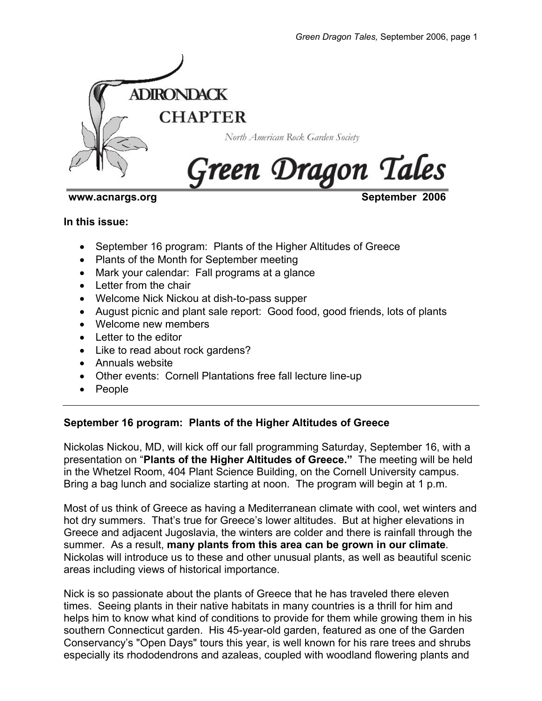

**www.acnargs.org September 2006** 

# **In this issue:**

- September 16 program: Plants of the Higher Altitudes of Greece
- Plants of the Month for September meeting
- Mark your calendar: Fall programs at a glance
- Letter from the chair
- Welcome Nick Nickou at dish-to-pass supper
- August picnic and plant sale report: Good food, good friends, lots of plants
- Welcome new members
- Letter to the editor
- Like to read about rock gardens?
- Annuals website
- Other events: Cornell Plantations free fall lecture line-up
- People

# **September 16 program: Plants of the Higher Altitudes of Greece**

Nickolas Nickou, MD, will kick off our fall programming Saturday, September 16, with a presentation on "**Plants of the Higher Altitudes of Greece."** The meeting will be held in the Whetzel Room, 404 Plant Science Building, on the Cornell University campus. Bring a bag lunch and socialize starting at noon. The program will begin at 1 p.m.

Most of us think of Greece as having a Mediterranean climate with cool, wet winters and hot dry summers. That's true for Greece's lower altitudes. But at higher elevations in Greece and adjacent Jugoslavia, the winters are colder and there is rainfall through the summer. As a result, **many plants from this area can be grown in our climate**. Nickolas will introduce us to these and other unusual plants, as well as beautiful scenic areas including views of historical importance.

Nick is so passionate about the plants of Greece that he has traveled there eleven times. Seeing plants in their native habitats in many countries is a thrill for him and helps him to know what kind of conditions to provide for them while growing them in his southern Connecticut garden. His 45-year-old garden, featured as one of the Garden Conservancy's "Open Days" tours this year, is well known for his rare trees and shrubs especially its rhododendrons and azaleas, coupled with woodland flowering plants and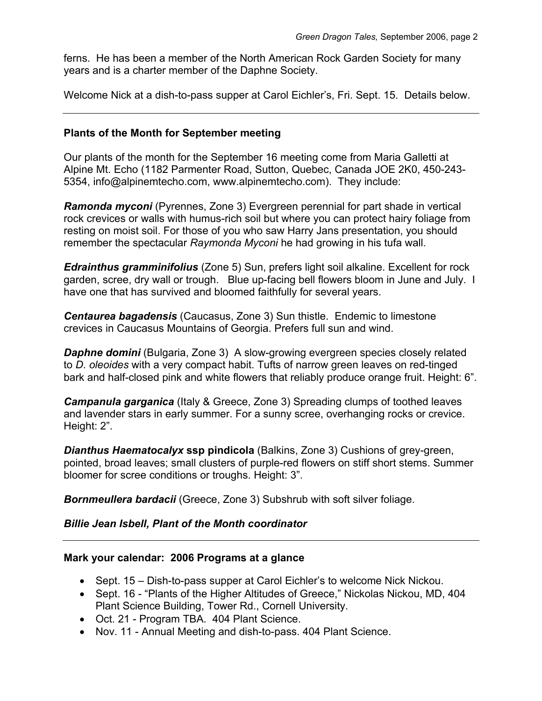ferns. He has been a member of the North American Rock Garden Society for many years and is a charter member of the Daphne Society.

Welcome Nick at a dish-to-pass supper at Carol Eichler's, Fri. Sept. 15. Details below.

# **Plants of the Month for September meeting**

Our plants of the month for the September 16 meeting come from Maria Galletti at Alpine Mt. Echo (1182 Parmenter Road, Sutton, Quebec, Canada JOE 2K0, 450-243- 5354, info@alpinemtecho.com, www.alpinemtecho.com). They include:

*Ramonda myconi* (Pyrennes, Zone 3) Evergreen perennial for part shade in vertical rock crevices or walls with humus-rich soil but where you can protect hairy foliage from resting on moist soil. For those of you who saw Harry Jans presentation, you should remember the spectacular *Raymonda Myconi* he had growing in his tufa wall.

*Edrainthus gramminifolius* (Zone 5) Sun, prefers light soil alkaline. Excellent for rock garden, scree, dry wall or trough. Blue up-facing bell flowers bloom in June and July. I have one that has survived and bloomed faithfully for several years.

*Centaurea bagadensis* (Caucasus, Zone 3) Sun thistle. Endemic to limestone crevices in Caucasus Mountains of Georgia. Prefers full sun and wind.

*Daphne domini* (Bulgaria, Zone 3) A slow-growing evergreen species closely related to *D. oleoides* with a very compact habit. Tufts of narrow green leaves on red-tinged bark and half-closed pink and white flowers that reliably produce orange fruit. Height: 6".

*Campanula garganica* (Italy & Greece, Zone 3) Spreading clumps of toothed leaves and lavender stars in early summer. For a sunny scree, overhanging rocks or crevice. Height: 2".

*Dianthus Haematocalyx* **ssp pindicola** (Balkins, Zone 3) Cushions of grey-green, pointed, broad leaves; small clusters of purple-red flowers on stiff short stems. Summer bloomer for scree conditions or troughs. Height: 3".

*Bornmeullera bardacii* (Greece, Zone 3) Subshrub with soft silver foliage.

# *Billie Jean Isbell, Plant of the Month coordinator*

# **Mark your calendar: 2006 Programs at a glance**

- Sept. 15 Dish-to-pass supper at Carol Eichler's to welcome Nick Nickou.
- Sept. 16 "Plants of the Higher Altitudes of Greece," Nickolas Nickou, MD, 404 Plant Science Building, Tower Rd., Cornell University.
- Oct. 21 Program TBA. 404 Plant Science.
- Nov. 11 Annual Meeting and dish-to-pass. 404 Plant Science.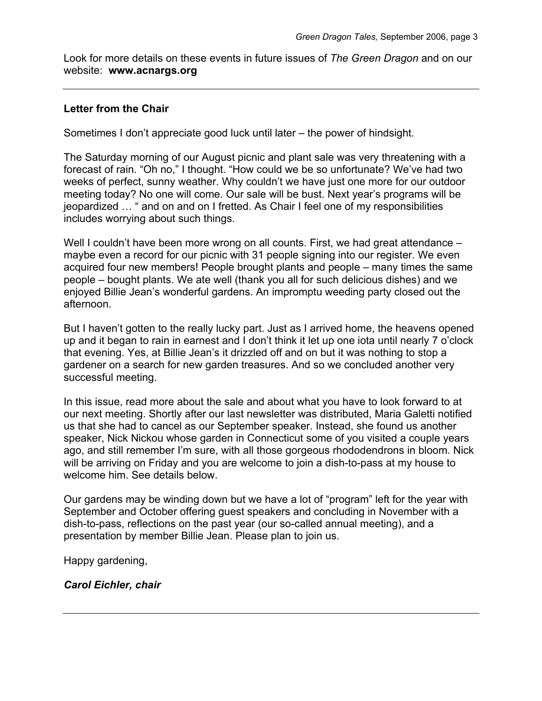Look for more details on these events in future issues of *The Green Dragon* and on our website: **www.acnargs.org** 

# **Letter from the Chair**

Sometimes I don't appreciate good luck until later – the power of hindsight.

The Saturday morning of our August picnic and plant sale was very threatening with a forecast of rain. "Oh no," I thought. "How could we be so unfortunate? We've had two weeks of perfect, sunny weather. Why couldn't we have just one more for our outdoor meeting today? No one will come. Our sale will be bust. Next year's programs will be jeopardized … " and on and on I fretted. As Chair I feel one of my responsibilities includes worrying about such things.

Well I couldn't have been more wrong on all counts. First, we had great attendance – maybe even a record for our picnic with 31 people signing into our register. We even acquired four new members! People brought plants and people – many times the same people – bought plants. We ate well (thank you all for such delicious dishes) and we enjoyed Billie Jean's wonderful gardens. An impromptu weeding party closed out the afternoon.

But I haven't gotten to the really lucky part. Just as I arrived home, the heavens opened up and it began to rain in earnest and I don't think it let up one iota until nearly 7 o'clock that evening. Yes, at Billie Jean's it drizzled off and on but it was nothing to stop a gardener on a search for new garden treasures. And so we concluded another very successful meeting.

In this issue, read more about the sale and about what you have to look forward to at our next meeting. Shortly after our last newsletter was distributed, Maria Galetti notified us that she had to cancel as our September speaker. Instead, she found us another speaker, Nick Nickou whose garden in Connecticut some of you visited a couple years ago, and still remember I'm sure, with all those gorgeous rhododendrons in bloom. Nick will be arriving on Friday and you are welcome to join a dish-to-pass at my house to welcome him. See details below.

Our gardens may be winding down but we have a lot of "program" left for the year with September and October offering guest speakers and concluding in November with a dish-to-pass, reflections on the past year (our so-called annual meeting), and a presentation by member Billie Jean. Please plan to join us.

Happy gardening,

*Carol Eichler, chair*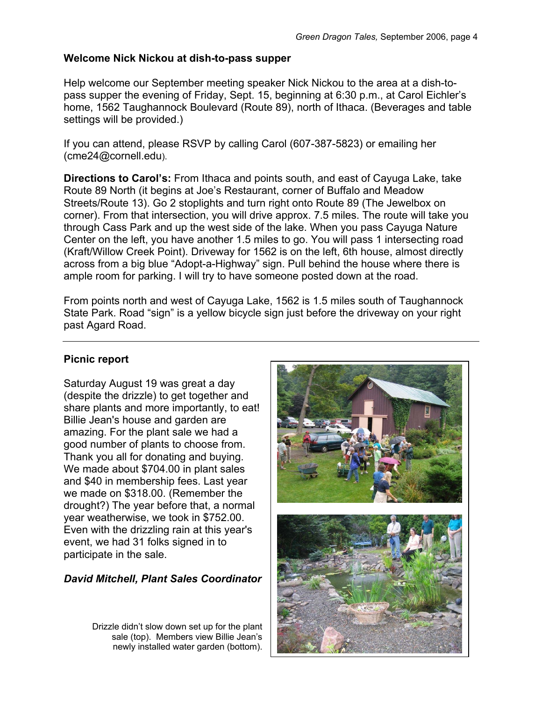# **Welcome Nick Nickou at dish-to-pass supper**

Help welcome our September meeting speaker Nick Nickou to the area at a dish-topass supper the evening of Friday, Sept. 15, beginning at 6:30 p.m., at Carol Eichler's home, 1562 Taughannock Boulevard (Route 89), north of Ithaca. (Beverages and table settings will be provided.)

If you can attend, please RSVP by calling Carol (607-387-5823) or emailing her (cme24@cornell.edu).

**Directions to Carol's:** From Ithaca and points south, and east of Cayuga Lake, take Route 89 North (it begins at Joe's Restaurant, corner of Buffalo and Meadow Streets/Route 13). Go 2 stoplights and turn right onto Route 89 (The Jewelbox on corner). From that intersection, you will drive approx. 7.5 miles. The route will take you through Cass Park and up the west side of the lake. When you pass Cayuga Nature Center on the left, you have another 1.5 miles to go. You will pass 1 intersecting road (Kraft/Willow Creek Point). Driveway for 1562 is on the left, 6th house, almost directly across from a big blue "Adopt-a-Highway" sign. Pull behind the house where there is ample room for parking. I will try to have someone posted down at the road.

From points north and west of Cayuga Lake, 1562 is 1.5 miles south of Taughannock State Park. Road "sign" is a yellow bicycle sign just before the driveway on your right past Agard Road.

# **Picnic report**

Saturday August 19 was great a day (despite the drizzle) to get together and share plants and more importantly, to eat! Billie Jean's house and garden are amazing. For the plant sale we had a good number of plants to choose from. Thank you all for donating and buying. We made about \$704.00 in plant sales and \$40 in membership fees. Last year we made on \$318.00. (Remember the drought?) The year before that, a normal year weatherwise, we took in \$752.00. Even with the drizzling rain at this year's event, we had 31 folks signed in to participate in the sale.

# *David Mitchell, Plant Sales Coordinator*

Drizzle didn't slow down set up for the plant sale (top). Members view Billie Jean's newly installed water garden (bottom).

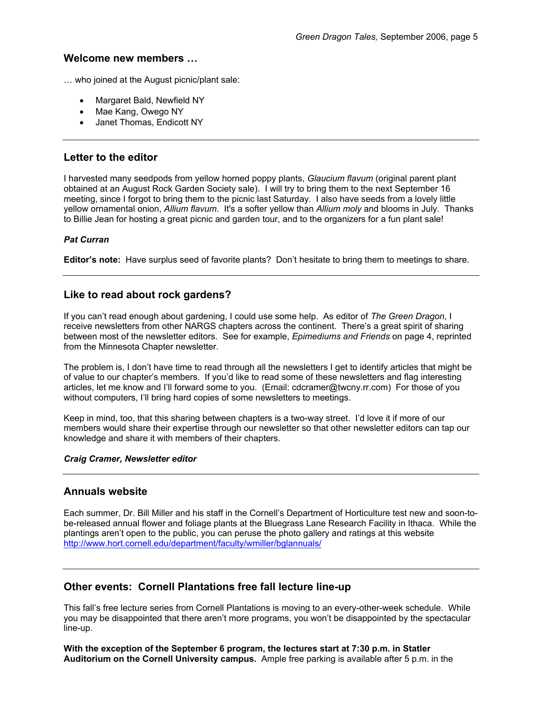### **Welcome new members …**

… who joined at the August picnic/plant sale:

- Margaret Bald, Newfield NY
- Mae Kang, Owego NY
- Janet Thomas, Endicott NY

## **Letter to the editor**

I harvested many seedpods from yellow horned poppy plants, *Glaucium flavum* (original parent plant obtained at an August Rock Garden Society sale). I will try to bring them to the next September 16 meeting, since I forgot to bring them to the picnic last Saturday. I also have seeds from a lovely little yellow ornamental onion, *Allium flavum*. It's a softer yellow than *Allium moly* and blooms in July. Thanks to Billie Jean for hosting a great picnic and garden tour, and to the organizers for a fun plant sale!

#### *Pat Curran*

**Editor's note:** Have surplus seed of favorite plants? Don't hesitate to bring them to meetings to share.

## **Like to read about rock gardens?**

If you can't read enough about gardening, I could use some help. As editor of *The Green Dragon*, I receive newsletters from other NARGS chapters across the continent. There's a great spirit of sharing between most of the newsletter editors. See for example, *Epimediums and Friends* on page 4, reprinted from the Minnesota Chapter newsletter.

The problem is, I don't have time to read through all the newsletters I get to identify articles that might be of value to our chapter's members. If you'd like to read some of these newsletters and flag interesting articles, let me know and I'll forward some to you. (Email: cdcramer@twcny.rr.com) For those of you without computers, I'll bring hard copies of some newsletters to meetings.

Keep in mind, too, that this sharing between chapters is a two-way street. I'd love it if more of our members would share their expertise through our newsletter so that other newsletter editors can tap our knowledge and share it with members of their chapters.

#### *Craig Cramer, Newsletter editor*

## **Annuals website**

Each summer, Dr. Bill Miller and his staff in the Cornell's Department of Horticulture test new and soon-tobe-released annual flower and foliage plants at the Bluegrass Lane Research Facility in Ithaca. While the plantings aren't open to the public, you can peruse the photo gallery and ratings at this website http://www.hort.cornell.edu/department/faculty/wmiller/bglannuals/

## **Other events: Cornell Plantations free fall lecture line-up**

This fall's free lecture series from Cornell Plantations is moving to an every-other-week schedule. While you may be disappointed that there aren't more programs, you won't be disappointed by the spectacular line-up.

**With the exception of the September 6 program, the lectures start at 7:30 p.m. in Statler Auditorium on the Cornell University campus.** Ample free parking is available after 5 p.m. in the